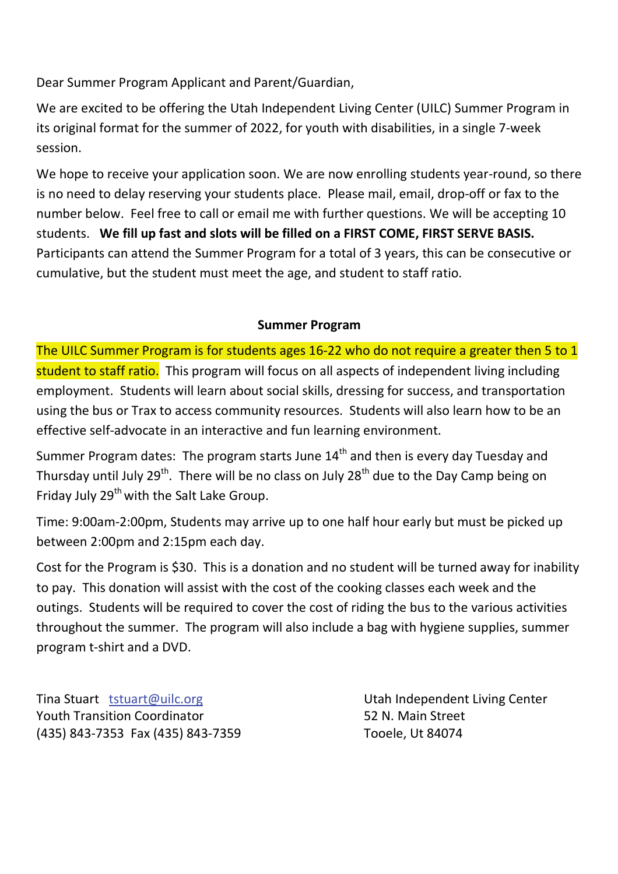Dear Summer Program Applicant and Parent/Guardian,

We are excited to be offering the Utah Independent Living Center (UILC) Summer Program in its original format for the summer of 2022, for youth with disabilities, in a single 7-week session.

We hope to receive your application soon. We are now enrolling students year-round, so there is no need to delay reserving your students place. Please mail, email, drop-off or fax to the number below. Feel free to call or email me with further questions. We will be accepting 10 students. **We fill up fast and slots will be filled on a FIRST COME, FIRST SERVE BASIS.**  Participants can attend the Summer Program for a total of 3 years, this can be consecutive or cumulative, but the student must meet the age, and student to staff ratio.

## **Summer Program**

The UILC Summer Program is for students ages 16-22 who do not require a greater then 5 to 1 student to staff ratio. This program will focus on all aspects of independent living including employment. Students will learn about social skills, dressing for success, and transportation using the bus or Trax to access community resources. Students will also learn how to be an effective self-advocate in an interactive and fun learning environment.

Summer Program dates: The program starts June  $14<sup>th</sup>$  and then is every day Tuesday and Thursday until July 29<sup>th</sup>. There will be no class on July 28<sup>th</sup> due to the Day Camp being on Friday July 29<sup>th</sup> with the Salt Lake Group.

Time: 9:00am-2:00pm, Students may arrive up to one half hour early but must be picked up between 2:00pm and 2:15pm each day.

Cost for the Program is \$30. This is a donation and no student will be turned away for inability to pay. This donation will assist with the cost of the cooking classes each week and the outings. Students will be required to cover the cost of riding the bus to the various activities throughout the summer. The program will also include a bag with hygiene supplies, summer program t-shirt and a DVD.

Tina Stuart tstuart@uilc.org Utah Independent Living Center Youth Transition Coordinator **52 N. Main Street** (435) 843-7353 Fax (435) 843-7359 Tooele, Ut 84074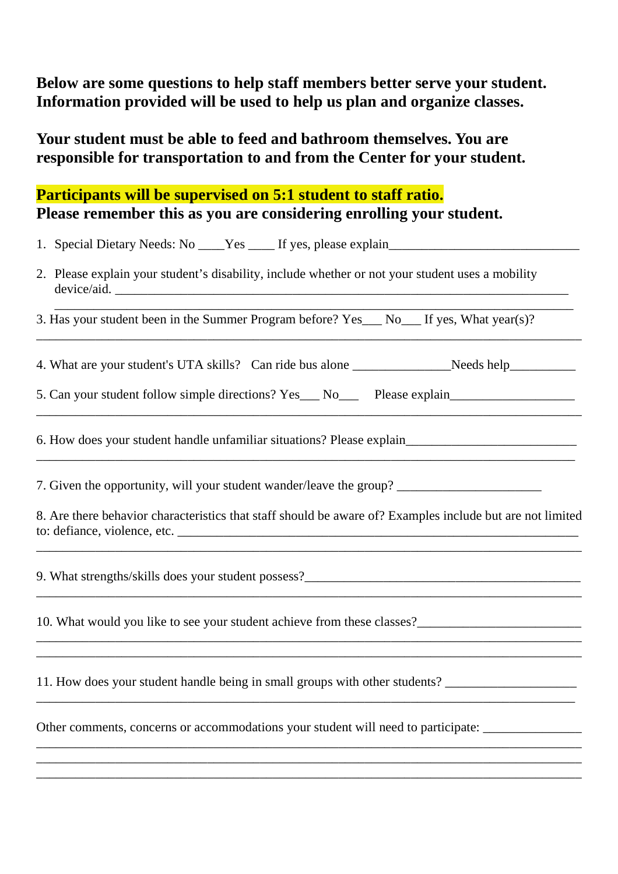# **Below are some questions to help staff members better serve your student. Information provided will be used to help us plan and organize classes.**

**Your student must be able to feed and bathroom themselves. You are responsible for transportation to and from the Center for your student.** 

# **Participants will be supervised on 5:1 student to staff ratio. Please remember this as you are considering enrolling your student.**

| 2. Please explain your student's disability, include whether or not your student uses a mobility<br>device/aid.                                                                                                                       |  |  |  |  |  |  |  |  |
|---------------------------------------------------------------------------------------------------------------------------------------------------------------------------------------------------------------------------------------|--|--|--|--|--|--|--|--|
| 3. Has your student been in the Summer Program before? Yes___ No___ If yes, What year(s)?                                                                                                                                             |  |  |  |  |  |  |  |  |
| 4. What are your student's UTA skills? Can ride bus alone _____________________Needs help___________                                                                                                                                  |  |  |  |  |  |  |  |  |
| 5. Can your student follow simple directions? Yes___ No___ Please explain___________________________                                                                                                                                  |  |  |  |  |  |  |  |  |
| 6. How does your student handle unfamiliar situations? Please explain_______________________________                                                                                                                                  |  |  |  |  |  |  |  |  |
|                                                                                                                                                                                                                                       |  |  |  |  |  |  |  |  |
| 8. Are there behavior characteristics that staff should be aware of? Examples include but are not limited<br>to: defiance, violence, etc.                                                                                             |  |  |  |  |  |  |  |  |
|                                                                                                                                                                                                                                       |  |  |  |  |  |  |  |  |
| 10. What would you like to see your student achieve from these classes?<br><u>Letting</u> the state of the state of the state of the state of the state of the state of the state of the state of the state of the state of the state |  |  |  |  |  |  |  |  |
| 11. How does your student handle being in small groups with other students? _______________________                                                                                                                                   |  |  |  |  |  |  |  |  |
| Other comments, concerns or accommodations your student will need to participate: __________________                                                                                                                                  |  |  |  |  |  |  |  |  |
|                                                                                                                                                                                                                                       |  |  |  |  |  |  |  |  |

\_\_\_\_\_\_\_\_\_\_\_\_\_\_\_\_\_\_\_\_\_\_\_\_\_\_\_\_\_\_\_\_\_\_\_\_\_\_\_\_\_\_\_\_\_\_\_\_\_\_\_\_\_\_\_\_\_\_\_\_\_\_\_\_\_\_\_\_\_\_\_\_\_\_\_\_\_\_\_\_\_\_\_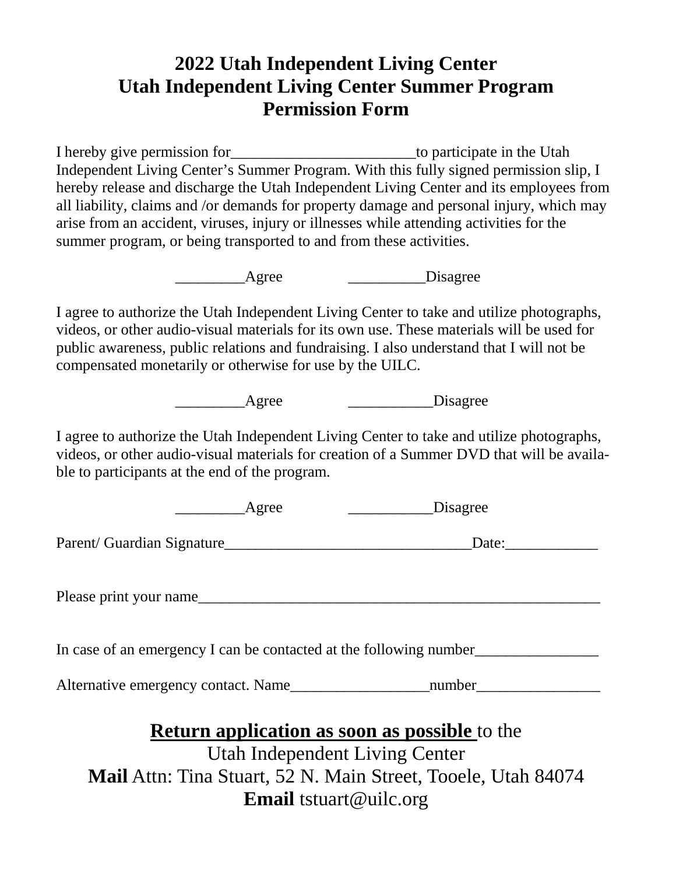# **2022 Utah Independent Living Center Utah Independent Living Center Summer Program Permission Form**

I hereby give permission for the Utah to participate in the Utah Independent Living Center's Summer Program. With this fully signed permission slip, I hereby release and discharge the Utah Independent Living Center and its employees from all liability, claims and /or demands for property damage and personal injury, which may arise from an accident, viruses, injury or illnesses while attending activities for the summer program, or being transported to and from these activities.

Agree Disagree

I agree to authorize the Utah Independent Living Center to take and utilize photographs, videos, or other audio-visual materials for its own use. These materials will be used for public awareness, public relations and fundraising. I also understand that I will not be compensated monetarily or otherwise for use by the UILC.

Agree Disagree

I agree to authorize the Utah Independent Living Center to take and utilize photographs, videos, or other audio-visual materials for creation of a Summer DVD that will be available to participants at the end of the program.

| Agree                                                                                  | Disagree |  |  |  |  |  |  |
|----------------------------------------------------------------------------------------|----------|--|--|--|--|--|--|
| Parent/Guardian Signature                                                              | Date:    |  |  |  |  |  |  |
| Please print your name                                                                 |          |  |  |  |  |  |  |
| In case of an emergency I can be contacted at the following number                     |          |  |  |  |  |  |  |
| Alternative emergency contact. Name number number                                      |          |  |  |  |  |  |  |
| <b>Return application as soon as possible to the</b><br>Utah Independent Living Center |          |  |  |  |  |  |  |

**Mail** Attn: Tina Stuart, 52 N. Main Street, Tooele, Utah 84074 **Email** tstuart@uilc.org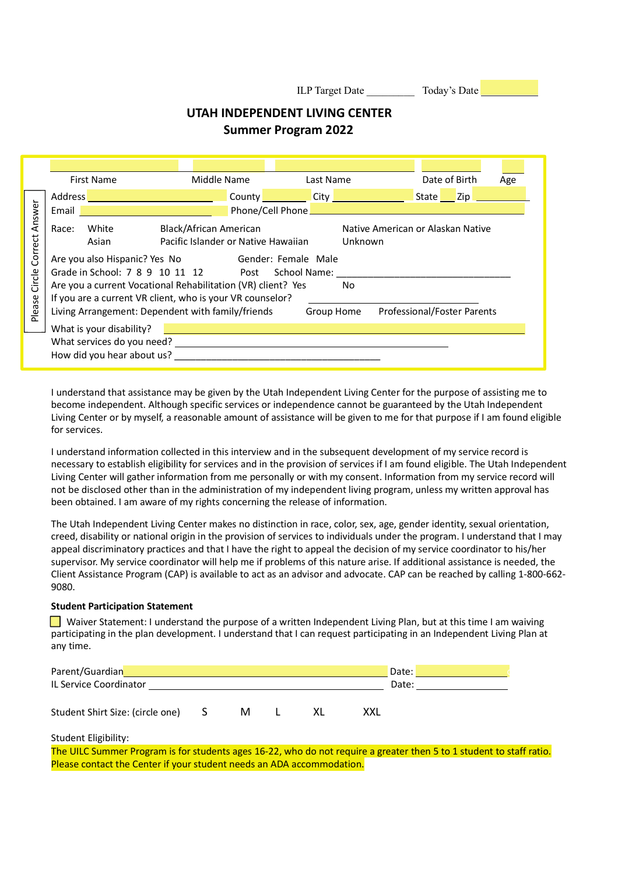ILP Target Date \_\_\_\_\_\_\_\_\_\_\_ Today's Date

## **UTAH INDEPENDENT LIVING CENTER Summer Program 2022**

| Answer<br>Correct<br>Circle<br>Please | <b>First Name</b><br>Address <b>Management Community Community</b><br>Email  <br>White<br>Race:<br>Asian<br>Are you also Hispanic? Yes No Gender: Female Male<br>Grade in School: 7 8 9 10 11 12 Post School Name:<br>Are you a current Vocational Rehabilitation (VR) client? Yes<br>If you are a current VR client, who is your VR counselor?<br>Living Arrangement: Dependent with family/friends<br>What is your disability? | Middle Name<br>Black/African American<br>Pacific Islander or Native Hawaiian | Last Name<br>County City City<br>Unknown<br>N <sub>0</sub><br>Group Home | Date of Birth<br>State Zip<br>Native American or Alaskan Native<br>Professional/Foster Parents | Age |
|---------------------------------------|----------------------------------------------------------------------------------------------------------------------------------------------------------------------------------------------------------------------------------------------------------------------------------------------------------------------------------------------------------------------------------------------------------------------------------|------------------------------------------------------------------------------|--------------------------------------------------------------------------|------------------------------------------------------------------------------------------------|-----|
|                                       | What services do you need? What services do you need?<br>How did you hear about us?                                                                                                                                                                                                                                                                                                                                              |                                                                              |                                                                          |                                                                                                |     |

I understand that assistance may be given by the Utah Independent Living Center for the purpose of assisting me to become independent. Although specific services or independence cannot be guaranteed by the Utah Independent Living Center or by myself, a reasonable amount of assistance will be given to me for that purpose if I am found eligible for services.

I understand information collected in this interview and in the subsequent development of my service record is necessary to establish eligibility for services and in the provision of services if I am found eligible. The Utah Independent Living Center will gather information from me personally or with my consent. Information from my service record will not be disclosed other than in the administration of my independent living program, unless my written approval has been obtained. I am aware of my rights concerning the release of information.

The Utah Independent Living Center makes no distinction in race, color, sex, age, gender identity, sexual orientation, creed, disability or national origin in the provision of services to individuals under the program. I understand that I may appeal discriminatory practices and that I have the right to appeal the decision of my service coordinator to his/her supervisor. My service coordinator will help me if problems of this nature arise. If additional assistance is needed, the Client Assistance Program (CAP) is available to act as an advisor and advocate. CAP can be reached by calling 1-800-662- 9080.

## **Student Participation Statement**

Waiver Statement: I understand the purpose of a written Independent Living Plan, but at this time I am waiving participating in the plan development. I understand that I can request participating in an Independent Living Plan at any time.

| Parent/Guardian                  | Date:                    |   |  |  |     |  |
|----------------------------------|--------------------------|---|--|--|-----|--|
| IL Service Coordinator           | Date:                    |   |  |  |     |  |
| Student Shirt Size: (circle one) | $\overline{\phantom{a}}$ | м |  |  | XXL |  |

Student Eligibility:

The UILC Summer Program is for students ages 16-22, who do not require a greater then 5 to 1 student to staff ratio. Please contact the Center if your student needs an ADA accommodation.